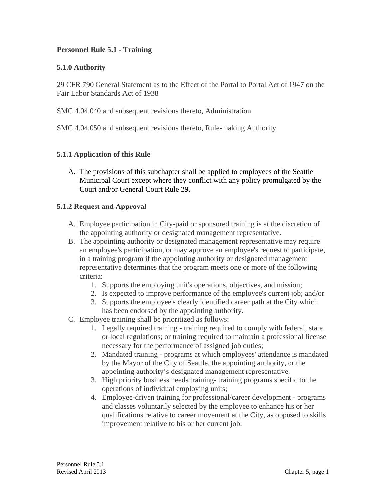### **Personnel Rule 5.1 - Training**

### **5.1.0 Authority**

29 CFR 790 General Statement as to the Effect of the Portal to Portal Act of 1947 on the Fair Labor Standards Act of 1938

SMC 4.04.040 and subsequent revisions thereto, Administration

SMC 4.04.050 and subsequent revisions thereto, Rule-making Authority

### **5.1.1 Application of this Rule**

A. The provisions of this subchapter shall be applied to employees of the Seattle Municipal Court except where they conflict with any policy promulgated by the Court and/or General Court Rule 29.

#### **5.1.2 Request and Approval**

- A. Employee participation in City-paid or sponsored training is at the discretion of the appointing authority or designated management representative.
- B. The appointing authority or designated management representative may require an employee's participation, or may approve an employee's request to participate, in a training program if the appointing authority or designated management representative determines that the program meets one or more of the following criteria:
	- 1. Supports the employing unit's operations, objectives, and mission;
	- 2. Is expected to improve performance of the employee's current job; and/or
	- 3. Supports the employee's clearly identified career path at the City which has been endorsed by the appointing authority.
- C. Employee training shall be prioritized as follows:
	- 1. Legally required training training required to comply with federal, state or local regulations; or training required to maintain a professional license necessary for the performance of assigned job duties;
	- 2. Mandated training programs at which employees' attendance is mandated by the Mayor of the City of Seattle, the appointing authority, or the appointing authority's designated management representative;
	- 3. High priority business needs training- training programs specific to the operations of individual employing units;
	- 4. Employee-driven training for professional/career development programs and classes voluntarily selected by the employee to enhance his or her qualifications relative to career movement at the City, as opposed to skills improvement relative to his or her current job.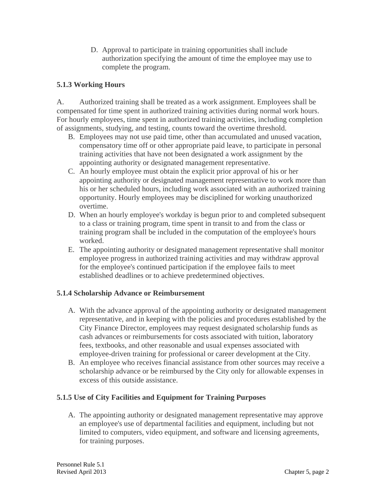D. Approval to participate in training opportunities shall include authorization specifying the amount of time the employee may use to complete the program.

# **5.1.3 Working Hours**

A. Authorized training shall be treated as a work assignment. Employees shall be compensated for time spent in authorized training activities during normal work hours. For hourly employees, time spent in authorized training activities, including completion of assignments, studying, and testing, counts toward the overtime threshold.

- B. Employees may not use paid time, other than accumulated and unused vacation, compensatory time off or other appropriate paid leave, to participate in personal training activities that have not been designated a work assignment by the appointing authority or designated management representative.
- C. An hourly employee must obtain the explicit prior approval of his or her appointing authority or designated management representative to work more than his or her scheduled hours, including work associated with an authorized training opportunity. Hourly employees may be disciplined for working unauthorized overtime.
- D. When an hourly employee's workday is begun prior to and completed subsequent to a class or training program, time spent in transit to and from the class or training program shall be included in the computation of the employee's hours worked.
- E. The appointing authority or designated management representative shall monitor employee progress in authorized training activities and may withdraw approval for the employee's continued participation if the employee fails to meet established deadlines or to achieve predetermined objectives.

# **5.1.4 Scholarship Advance or Reimbursement**

- A. With the advance approval of the appointing authority or designated management representative, and in keeping with the policies and procedures established by the City Finance Director, employees may request designated scholarship funds as cash advances or reimbursements for costs associated with tuition, laboratory fees, textbooks, and other reasonable and usual expenses associated with employee-driven training for professional or career development at the City.
- B. An employee who receives financial assistance from other sources may receive a scholarship advance or be reimbursed by the City only for allowable expenses in excess of this outside assistance.

# **5.1.5 Use of City Facilities and Equipment for Training Purposes**

A. The appointing authority or designated management representative may approve an employee's use of departmental facilities and equipment, including but not limited to computers, video equipment, and software and licensing agreements, for training purposes.